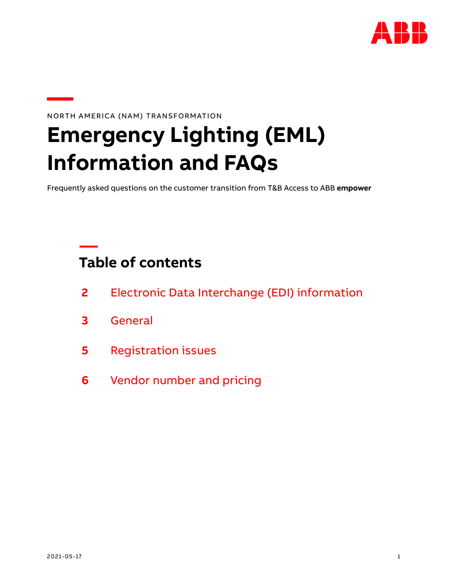

# **—**NORTH AMERICA (NAM) TRANSFORMATION

# **Emergency Lighting (EML) Information and FAQs**

Frequently asked questions on the customer transition from T&B Access to ABB **empower**

# **Table of contents**

- **2** [Electronic Data Interchange \(EDI\) information](#page-1-0)
- **3** [General](#page-2-0)
- **5** [Registration issues](#page-4-0)
- **6** [Vendor number and pricing](#page-5-0)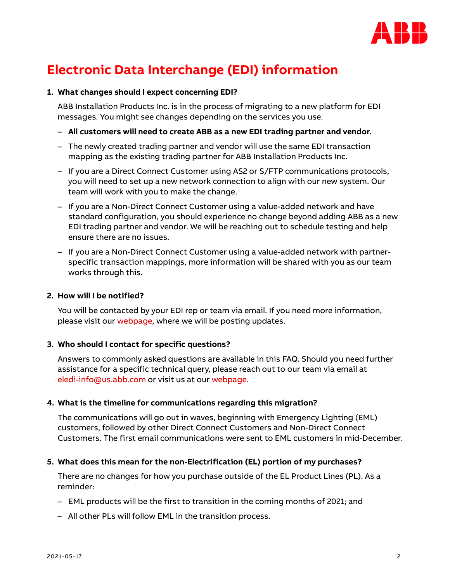

# <span id="page-1-0"></span>**Electronic Data Interchange (EDI) information**

#### **1. What changes should I expect concerning EDI?**

ABB Installation Products Inc. is in the process of migrating to a new platform for EDI messages. You might see changes depending on the services you use.

- **All customers will need to create ABB as a new EDI trading partner and vendor.**
- The newly created trading partner and vendor will use the same EDI transaction mapping as the existing trading partner for ABB Installation Products Inc.
- If you are a Direct Connect Customer using AS2 or S/FTP communications protocols, you will need to set up a new network connection to align with our new system. Our team will work with you to make the change.
- If you are a Non-Direct Connect Customer using a value-added network and have standard configuration, you should experience no change beyond adding ABB as a new EDI trading partner and vendor. We will be reaching out to schedule testing and help ensure there are no issues.
- If you are a Non-Direct Connect Customer using a value-added network with partnerspecific transaction mappings, more information will be shared with you as our team works through this.

#### **2. How will I be notified?**

You will be contacted by your EDI rep or team via email. If you need more information, please visit our [webpage,](https://new.abb.com/us/north-america-transformation) where we will be posting updates.

#### **3. Who should I contact for specific questions?**

Answers to commonly asked questions are available in this FAQ. Should you need further assistance for a specific technical query, please reach out to our team via email at [eledi-info@us.abb.com](mailto:eledi-info@us.abb.com) or visit us at our [webpage.](https://new.abb.com/us/north-america-transformation)

#### **4. What is the timeline for communications regarding this migration?**

The communications will go out in waves, beginning with Emergency Lighting (EML) customers, followed by other Direct Connect Customers and Non-Direct Connect Customers. The first email communications were sent to EML customers in mid-December.

#### **5. What does this mean for the non-Electrification (EL) portion of my purchases?**

There are no changes for how you purchase outside of the EL Product Lines (PL). As a reminder:

- EML products will be the first to transition in the coming months of 2021; and
- All other PLs will follow EML in the transition process.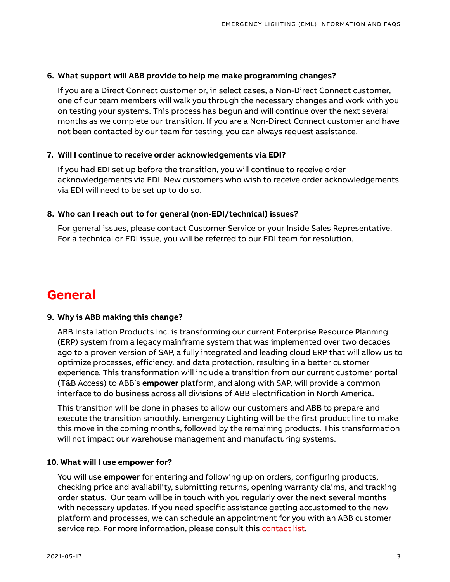#### **6. What support will ABB provide to help me make programming changes?**

If you are a Direct Connect customer or, in select cases, a Non-Direct Connect customer, one of our team members will walk you through the necessary changes and work with you on testing your systems. This process has begun and will continue over the next several months as we complete our transition. If you are a Non-Direct Connect customer and have not been contacted by our team for testing, you can always request assistance.

#### **7. Will I continue to receive order acknowledgements via EDI?**

If you had EDI set up before the transition, you will continue to receive order acknowledgements via EDI. New customers who wish to receive order acknowledgements via EDI will need to be set up to do so.

#### **8. Who can I reach out to for general (non-EDI/technical) issues?**

For general issues, please contact Customer Service or your Inside Sales Representative. For a technical or EDI issue, you will be referred to our EDI team for resolution.

### <span id="page-2-0"></span>**General**

#### **9. Why is ABB making this change?**

ABB Installation Products Inc. is transforming our current Enterprise Resource Planning (ERP) system from a legacy mainframe system that was implemented over two decades ago to a proven version of SAP, a fully integrated and leading cloud ERP that will allow us to optimize processes, efficiency, and data protection, resulting in a better customer experience. This transformation will include a transition from our current customer portal (T&B Access) to ABB's **empower** platform, and along with SAP, will provide a common interface to do business across all divisions of ABB Electrification in North America.

This transition will be done in phases to allow our customers and ABB to prepare and execute the transition smoothly. Emergency Lighting will be the first product line to make this move in the coming months, followed by the remaining products. This transformation will not impact our warehouse management and manufacturing systems.

#### **10. What will I use empower for?**

You will use **empower** for entering and following up on orders, configuring products, checking price and availability, submitting returns, opening warranty claims, and tracking order status. Our team will be in touch with you regularly over the next several months with necessary updates. If you need specific assistance getting accustomed to the new platform and processes, we can schedule an appointment for you with an ABB customer service rep. For more information, please consult this [contact list.](https://search.abb.com/library/Download.aspx?DocumentID=9AKK107991A6913&LanguageCode=en&DocumentPartId=&Action=Launch)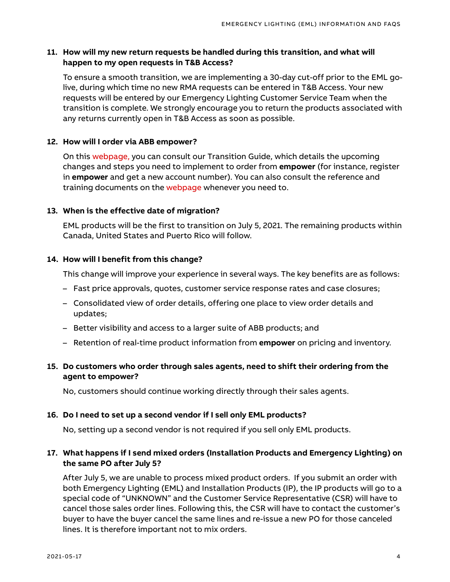#### **11. How will my new return requests be handled during this transition, and what will happen to my open requests in T&B Access?**

To ensure a smooth transition, we are implementing a 30-day cut-off prior to the EML golive, during which time no new RMA requests can be entered in T&B Access. Your new requests will be entered by our Emergency Lighting Customer Service Team when the transition is complete. We strongly encourage you to return the products associated with any returns currently open in T&B Access as soon as possible.

#### **12. How will I order via ABB empower?**

On this [webpage,](https://new.abb.com/us/north-america-transformation) you can consult our Transition Guide, which details the upcoming changes and steps you need to implement to order from **empower** (for instance, register in **empower** and get a new account number). You can also consult the reference and training documents on the [webpage](https://new.abb.com/us/north-america-transformation) whenever you need to.

#### **13. When is the effective date of migration?**

EML products will be the first to transition on July 5, 2021. The remaining products within Canada, United States and Puerto Rico will follow.

#### **14. How will I benefit from this change?**

This change will improve your experience in several ways. The key benefits are as follows:

- Fast price approvals, quotes, customer service response rates and case closures;
- Consolidated view of order details, offering one place to view order details and updates;
- Better visibility and access to a larger suite of ABB products; and
- Retention of real-time product information from **empower** on pricing and inventory.

#### **15. Do customers who order through sales agents, need to shift their ordering from the agent to empower?**

No, customers should continue working directly through their sales agents.

#### **16. Do I need to set up a second vendor if I sell only EML products?**

No, setting up a second vendor is not required if you sell only EML products.

#### **17. What happens if I send mixed orders (Installation Products and Emergency Lighting) on the same PO after July 5?**

After July 5, we are unable to process mixed product orders. If you submit an order with both Emergency Lighting (EML) and Installation Products (IP), the IP products will go to a special code of "UNKNOWN" and the Customer Service Representative (CSR) will have to cancel those sales order lines. Following this, the CSR will have to contact the customer's buyer to have the buyer cancel the same lines and re-issue a new PO for those canceled lines. It is therefore important not to mix orders.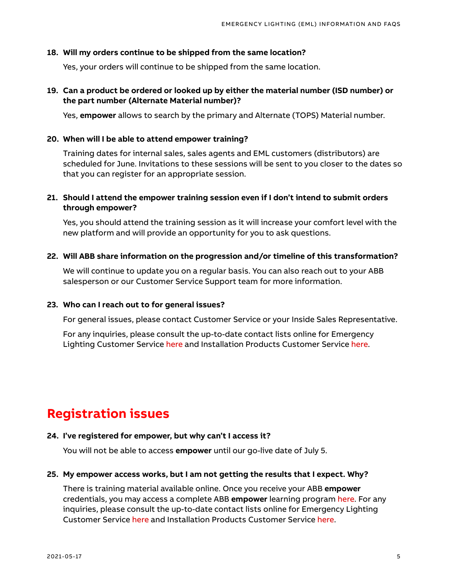#### **18. Will my orders continue to be shipped from the same location?**

Yes, your orders will continue to be shipped from the same location.

#### **19. Can a product be ordered or looked up by either the material number (ISD number) or the part number (Alternate Material number)?**

Yes, **empower** allows to search by the primary and Alternate (TOPS) Material number.

#### **20. When will I be able to attend empower training?**

Training dates for internal sales, sales agents and EML customers (distributors) are scheduled for June. Invitations to these sessions will be sent to you closer to the dates so that you can register for an appropriate session.

#### **21. Should I attend the empower training session even if I don't intend to submit orders through empower?**

Yes, you should attend the training session as it will increase your comfort level with the new platform and will provide an opportunity for you to ask questions.

#### **22. Will ABB share information on the progression and/or timeline of this transformation?**

We will continue to update you on a regular basis. You can also reach out to your ABB salesperson or our Customer Service Support team for more information.

#### **23. Who can I reach out to for general issues?**

For general issues, please contact Customer Service or your Inside Sales Representative.

For any inquiries, please consult the up-to-date contact lists online for Emergency Lighting Customer Service [here](https://search.abb.com/library/Download.aspx?DocumentID=9AKK107991A6913&LanguageCode=en&DocumentPartId=&Action=Launch) and Installation Products Customer Service [here.](https://search.abb.com/library/Download.aspx?DocumentID=9AKK107991A6912&LanguageCode=en&DocumentPartId=&Action=Launch)

# <span id="page-4-0"></span>**Registration issues**

#### **24. I've registered for empower, but why can't I access it?**

You will not be able to access **empower** until our go-live date of July 5.

#### **25. My empower access works, but I am not getting the results that I expect. Why?**

There is training material available online. Once you receive your ABB **empower**  credentials, you may access a complete ABB **empower** learning program [here.](https://empower.lessonly.com./) For any inquiries, please consult the up-to-date contact lists online for Emergency Lighting Customer Service [here](https://search.abb.com/library/Download.aspx?DocumentID=9AKK107991A6913&LanguageCode=en&DocumentPartId=&Action=Launch) and Installation Products Customer Service [here.](https://search.abb.com/library/Download.aspx?DocumentID=9AKK107991A6912&LanguageCode=en&DocumentPartId=&Action=Launch)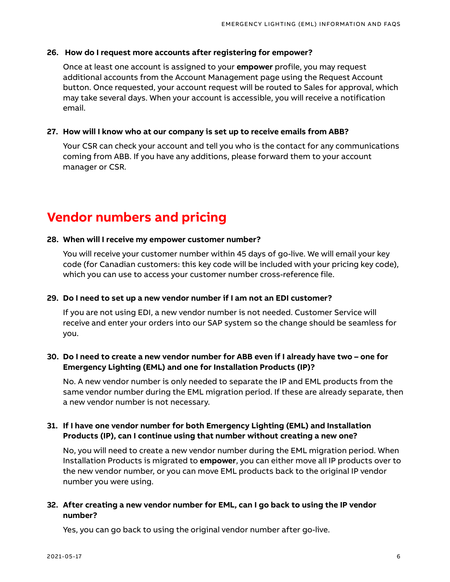#### **26. How do I request more accounts after registering for empower?**

Once at least one account is assigned to your **empower** profile, you may request additional accounts from the Account Management page using the Request Account button. Once requested, your account request will be routed to Sales for approval, which may take several days. When your account is accessible, you will receive a notification email.

#### **27. How will I know who at our company is set up to receive emails from ABB?**

Your CSR can check your account and tell you who is the contact for any communications coming from ABB. If you have any additions, please forward them to your account manager or CSR.

### <span id="page-5-0"></span>**Vendor numbers and pricing**

#### **28. When will I receive my empower customer number?**

You will receive your customer number within 45 days of go-live. We will email your key code (for Canadian customers: this key code will be included with your pricing key code), which you can use to access your customer number cross-reference file.

#### **29. Do I need to set up a new vendor number if I am not an EDI customer?**

If you are not using EDI, a new vendor number is not needed. Customer Service will receive and enter your orders into our SAP system so the change should be seamless for you.

#### **30. Do I need to create a new vendor number for ABB even if I already have two – one for Emergency Lighting (EML) and one for Installation Products (IP)?**

No. A new vendor number is only needed to separate the IP and EML products from the same vendor number during the EML migration period. If these are already separate, then a new vendor number is not necessary.

#### **31. If I have one vendor number for both Emergency Lighting (EML) and Installation Products (IP), can I continue using that number without creating a new one?**

No, you will need to create a new vendor number during the EML migration period. When Installation Products is migrated to **empower**, you can either move all IP products over to the new vendor number, or you can move EML products back to the original IP vendor number you were using.

#### **32. After creating a new vendor number for EML, can I go back to using the IP vendor number?**

Yes, you can go back to using the original vendor number after go-live.